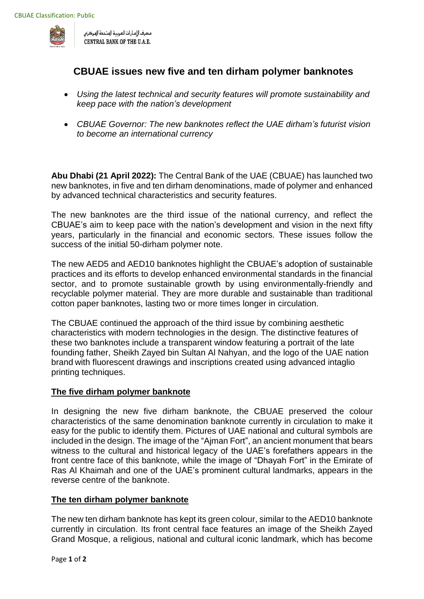

مصرف الإمارات العربية المتحدة المركزى CENTRAL BANK OF THE U.A.E.

# **CBUAE issues new five and ten dirham polymer banknotes**

- *Using the latest technical and security features will promote sustainability and keep pace with the nation's development*
- *CBUAE Governor: The new banknotes reflect the UAE dirham's futurist vision to become an international currency*

**Abu Dhabi (21 April 2022):** The Central Bank of the UAE (CBUAE) has launched two new banknotes, in five and ten dirham denominations, made of polymer and enhanced by advanced technical characteristics and security features.

The new banknotes are the third issue of the national currency, and reflect the CBUAE's aim to keep pace with the nation's development and vision in the next fifty years, particularly in the financial and economic sectors. These issues follow the success of the initial 50-dirham polymer note.

The new AED5 and AED10 banknotes highlight the CBUAE's adoption of sustainable practices and its efforts to develop enhanced environmental standards in the financial sector, and to promote sustainable growth by using environmentally-friendly and recyclable polymer material. They are more durable and sustainable than traditional cotton paper banknotes, lasting two or more times longer in circulation.

The CBUAE continued the approach of the third issue by combining aesthetic characteristics with modern technologies in the design. The distinctive features of these two banknotes include a transparent window featuring a portrait of the late founding father, Sheikh Zayed bin Sultan Al Nahyan, and the logo of the UAE nation brand with fluorescent drawings and inscriptions created using advanced intaglio printing techniques.

## **The five dirham polymer banknote**

In designing the new five dirham banknote, the CBUAE preserved the colour characteristics of the same denomination banknote currently in circulation to make it easy for the public to identify them. Pictures of UAE national and cultural symbols are included in the design. The image of the "Ajman Fort", an ancient monument that bears witness to the cultural and historical legacy of the UAE's forefathers appears in the front centre face of this banknote, while the image of "Dhayah Fort" in the Emirate of Ras Al Khaimah and one of the UAE's prominent cultural landmarks, appears in the reverse centre of the banknote.

## **The ten dirham polymer banknote**

The new ten dirham banknote has kept its green colour, similar to the AED10 banknote currently in circulation. Its front central face features an image of the Sheikh Zayed Grand Mosque, a religious, national and cultural iconic landmark, which has become